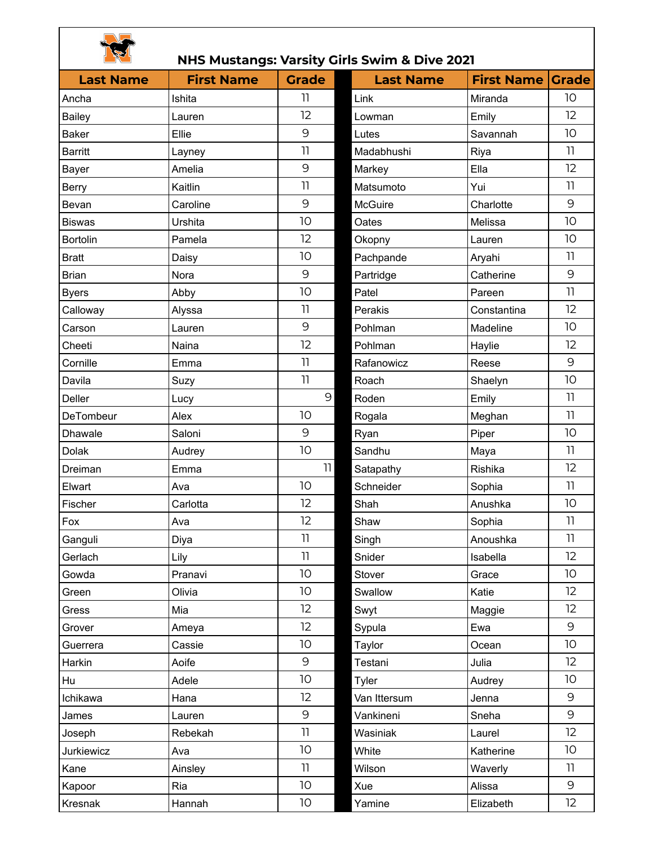|--|

## **NHS Mustangs: Varsity Girls Swim & Dive 2021**

|                  |                   |                            | NHS MUStangs: Varsity Girls Swim & Dive 2021 |                   |                 |
|------------------|-------------------|----------------------------|----------------------------------------------|-------------------|-----------------|
| <b>Last Name</b> | <b>First Name</b> | <b>Grade</b>               | <b>Last Name</b>                             | <b>First Name</b> | <b>Grade</b>    |
| Ancha            | Ishita            | 11                         | Link                                         | Miranda           | 10              |
| <b>Bailey</b>    | Lauren            | 12                         | Lowman                                       | Emily             | 12 <sup>2</sup> |
| <b>Baker</b>     | Ellie             | 9                          | Lutes                                        | Savannah          | 10 <sup>°</sup> |
| <b>Barritt</b>   | Layney            | 11                         | Madabhushi                                   | Riya              | 11              |
| Bayer            | Amelia            | 9                          | Markey                                       | Ella              | 12              |
| <b>Berry</b>     | Kaitlin           | 11                         | Matsumoto                                    | Yui               | 11              |
| Bevan            | Caroline          | 9                          | <b>McGuire</b>                               | Charlotte         | 9               |
| <b>Biswas</b>    | Urshita           | 10                         | Oates                                        | Melissa           | 10 <sup>°</sup> |
| <b>Bortolin</b>  | Pamela            | 12                         | Okopny                                       | Lauren            | 10 <sup>°</sup> |
| <b>Bratt</b>     | Daisy             | 10                         | Pachpande                                    | Aryahi            | 11              |
| <b>Brian</b>     | Nora              | 9                          | Partridge                                    | Catherine         | 9               |
| <b>Byers</b>     | Abby              | 10                         | Patel                                        | Pareen            | 11              |
| Calloway         | Alyssa            | $\overline{1}$             | Perakis                                      | Constantina       | 12 <sup>2</sup> |
| Carson           | Lauren            | 9                          | Pohlman                                      | Madeline          | 10 <sup>°</sup> |
| Cheeti           | Naina             | 12                         | Pohlman                                      | Haylie            | 12              |
| Cornille         | Emma              | 11                         | Rafanowicz                                   | Reese             | 9               |
| Davila           | Suzy              | 11                         | Roach                                        | Shaelyn           | 10 <sup>°</sup> |
| Deller           | Lucy              | 9                          | Roden                                        | Emily             | 11              |
| DeTombeur        | Alex              | 10                         | Rogala                                       | Meghan            | 11              |
| <b>Dhawale</b>   | Saloni            | 9                          | Ryan                                         | Piper             | 10 <sup>°</sup> |
| <b>Dolak</b>     | Audrey            | 10                         | Sandhu                                       | Maya              | 11              |
| Dreiman          | Emma              | 11                         | Satapathy                                    | Rishika           | 12              |
| Elwart           | Ava               | 10                         | Schneider                                    | Sophia            | 11              |
| Fischer          | Carlotta          | 12                         | Shah                                         | Anushka           | 10              |
| Fox              | Ava               | 12                         | Shaw                                         | Sophia            | 11              |
| Ganguli          | Diya              | $\ensuremath{\mathsf{11}}$ | Singh                                        | Anoushka          | 11              |
| Gerlach          | Lily              | 11                         | Snider                                       | Isabella          | 12 <sup>°</sup> |
| Gowda            | Pranavi           | 10                         | Stover                                       | Grace             | 10              |
| Green            | Olivia            | 10                         | Swallow                                      | Katie             | 12              |
| Gress            | Mia               | 12                         | Swyt                                         | Maggie            | 12              |
| Grover           | Ameya             | 12                         | Sypula                                       | Ewa               | 9               |
| Guerrera         | Cassie            | 10                         | Taylor                                       | Ocean             | 10 <sup>°</sup> |
| Harkin           | Aoife             | 9                          | Testani                                      | Julia             | 12 <sup>°</sup> |
| Hu               | Adele             | 10                         | Tyler                                        | Audrey            | 10              |
| Ichikawa         | Hana              | 12                         | Van Ittersum                                 | Jenna             | 9               |
| James            | Lauren            | 9                          | Vankineni                                    | Sneha             | 9               |
| Joseph           | Rebekah           | 11                         | Wasiniak                                     | Laurel            | 12              |
| Jurkiewicz       | Ava               | 10                         | White                                        | Katherine         | 10              |
| Kane             | Ainsley           | 11                         | Wilson                                       | Waverly           | 11              |
| Kapoor           | Ria               | 10                         | Xue                                          | Alissa            | 9               |
| Kresnak          | Hannah            | 10                         | Yamine                                       | Elizabeth         | 12              |